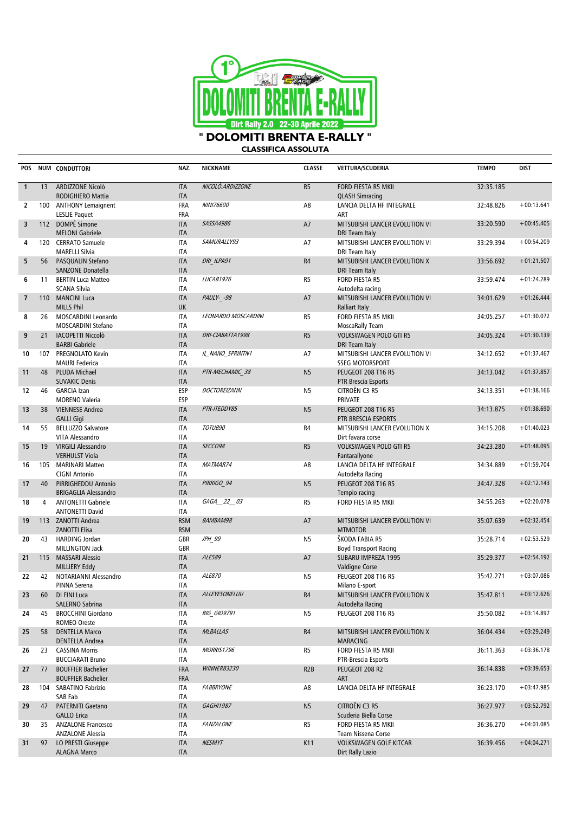

**CLASSIFICA ASSOLUTA** 

| POS                     |    | NUM CONDUTTORI                                                       | NAZ.                                   | <b>NICKNAME</b>     | <b>CLASSE</b>    | <b>VETTURA/SCUDERIA</b>                                                        | <b>TEMPO</b> | <b>DIST</b>  |
|-------------------------|----|----------------------------------------------------------------------|----------------------------------------|---------------------|------------------|--------------------------------------------------------------------------------|--------------|--------------|
| $\mathbf{1}$            | 13 | ARDIZZONE Nicolò<br>RODIGHIERO Mattia                                | <b>ITA</b><br><b>ITA</b>               | NICOLÒ.ARDIZZONE    | R <sub>5</sub>   | <b>FORD FIESTA R5 MKII</b><br><b>QLASH Simracing</b>                           | 32:35.185    |              |
| $\overline{2}$          |    | 100 ANTHONY Lemaignent<br><b>LESLIE Paquet</b>                       | <b>FRA</b><br><b>FRA</b>               | NINI76600           | A8               | LANCIA DELTA HF INTEGRALE<br>ART                                               | 32:48.826    | $+00:13.641$ |
| $\overline{\mathbf{3}}$ |    | 112 DOMPÉ Simone                                                     | <b>ITA</b>                             | SASSA4986           | A7               | MITSUBISHI LANCER EVOLUTION VI                                                 | 33:20.590    | $+00:45.405$ |
| 4                       |    | <b>MELONI Gabriele</b><br>120 CERRATO Samuele                        | <b>ITA</b><br><b>ITA</b>               | SAMURALLY93         | A7               | DRI Team Italy<br>MITSUBISHI LANCER EVOLUTION VI                               | 33:29.394    | $+00:54.209$ |
| 5                       | 56 | <b>MARELLI Silvia</b><br>PASQUALIN Stefano                           | <b>ITA</b><br><b>ITA</b>               | DRI ILPA91          | R <sub>4</sub>   | DRI Team Italy<br>MITSUBISHI LANCER EVOLUTION X                                | 33:56.692    | $+01:21.507$ |
| 6                       | 11 | SANZONE Donatella<br><b>BERTIN Luca Matteo</b>                       | <b>ITA</b><br><b>ITA</b>               | LUCAB1976           | R <sub>5</sub>   | <b>DRI Team Italy</b><br><b>FORD FIESTA R5</b>                                 | 33:59.474    | $+01:24.289$ |
| $\overline{7}$          |    | <b>SCANA Silvia</b><br>110 MANCINI Luca                              | <b>ITA</b><br><b>ITA</b>               | PAULY- -98          | A7               | Autodelta racing<br>MITSUBISHI LANCER EVOLUTION VI                             | 34:01.629    | $+01:26.444$ |
| 8                       | 26 | <b>MILLS Phil</b><br>MOSCARDINI Leonardo                             | UK<br><b>ITA</b>                       | LEONARDO MOSCARDINI | R <sub>5</sub>   | <b>Ralliart Italy</b><br>FORD FIESTA R5 MKII                                   | 34:05.257    | $+01:30.072$ |
| 9                       | 21 | MOSCARDINI Stefano<br><b>IACOPETTI Niccolò</b>                       | <b>ITA</b><br><b>ITA</b>               | DRI-CIABATTA1998    | R <sub>5</sub>   | MoscaRally Team<br><b>VOLKSWAGEN POLO GTI R5</b>                               | 34:05.324    | $+01:30.139$ |
| 10                      |    | <b>BARBI Gabriele</b><br>107 PREGNOLATO Kevin                        | <b>ITA</b><br><b>ITA</b>               | IL_NANO_SPRINTN1    | A7               | DRI Team Italy<br>MITSUBISHI LANCER EVOLUTION VI                               | 34:12.652    | $+01:37.467$ |
| 11                      | 48 | <b>MAURI Federica</b><br>PLUDA Michael                               | <b>ITA</b><br><b>ITA</b>               | PTR-MECHAMIC 38     | N <sub>5</sub>   | <b>SSEG MOTORSPORT</b><br><b>PEUGEOT 208 T16 R5</b>                            | 34:13.042    | $+01:37.857$ |
| 12                      | 46 | <b>SUVAKIC Denis</b><br><b>GARCIA Izan</b>                           | <b>ITA</b><br><b>ESP</b>               | <b>DOCTOREIZANN</b> | N <sub>5</sub>   | PTR Brescia Esports<br>CITROËN C3 R5                                           | 34:13.351    | $+01:38.166$ |
| 13                      | 38 | <b>MORENO Valeria</b><br><b>VIENNESE Andrea</b>                      | <b>ESP</b><br><b>ITA</b>               | PTR-ITEDDY85        | N <sub>5</sub>   | PRIVATE<br><b>PEUGEOT 208 T16 R5</b>                                           | 34:13.875    | $+01:38.690$ |
| 14                      | 55 | <b>GALLI Gigi</b><br><b>BELLUZZO Salvatore</b>                       | <b>ITA</b><br><b>ITA</b>               | TOTUB90             | R4               | PTR BRESCIA ESPORTS<br>MITSUBISHI LANCER EVOLUTION X                           | 34:15.208    | $+01:40.023$ |
|                         |    | VITA Alessandro                                                      | <b>ITA</b>                             |                     |                  | Dirt favara corse                                                              |              |              |
| 15                      | 19 | <b>VIRGILI Alessandro</b><br><b>VERHULST Viola</b>                   | <b>ITA</b><br><b>ITA</b>               | SECCO98             | R <sub>5</sub>   | <b>VOLKSWAGEN POLO GTI R5</b><br>Fantarallyone                                 | 34:23.280    | $+01:48.095$ |
| 16                      |    | 105 MARINARI Matteo<br><b>CIGNI Antonio</b>                          | <b>ITA</b><br><b>ITA</b>               | MATMAR74            | A8               | LANCIA DELTA HF INTEGRALE<br>Autodelta Racing                                  | 34:34.889    | $+01:59.704$ |
| 17                      | 40 | PIRRIGHEDDU Antonio<br><b>BRIGAGLIA Alessandro</b>                   | <b>ITA</b><br><b>ITA</b>               | PIRRIGO 94          | N <sub>5</sub>   | <b>PEUGEOT 208 T16 R5</b><br>Tempio racing                                     | 34:47.328    | $+02:12.143$ |
| 18                      | 4  | <b>ANTONETTI Gabriele</b><br><b>ANTONETTI David</b>                  | <b>ITA</b><br><b>ITA</b>               | GAGA 22 03          | R <sub>5</sub>   | FORD FIESTA R5 MKII                                                            | 34:55.263    | $+02:20.078$ |
| 19                      |    | 113 ZANOTTI Andrea<br><b>ZANOTTI Elisa</b>                           | <b>RSM</b><br><b>RSM</b>               | BAMBAM98            | A7               | MITSUBISHI LANCER EVOLUTION VI<br><b>MTMOTOR</b>                               | 35:07.639    | $+02:32.454$ |
| 20                      | 43 | HARDING Jordan<br>MILLINGTON Jack                                    | <b>GBR</b><br>GBR                      | JPH 99              | N <sub>5</sub>   | ŠKODA FABIA R5<br><b>Boyd Transport Racing</b>                                 | 35:28.714    | $+02:53.529$ |
| 21                      |    | 115 MASSARI Alessio<br>MILLIERY Eddy                                 | <b>ITA</b><br><b>ITA</b>               | ALE589              | A7               | SUBARU IMPREZA 1995<br>Valdigne Corse                                          | 35:29.377    | $+02:54.192$ |
| 22                      | 42 | NOTARIANNI Alessandro<br>PINNA Serena                                | <b>ITA</b><br><b>ITA</b>               | ALE870              | N <sub>5</sub>   | <b>PEUGEOT 208 T16 R5</b><br>Milano E-sport                                    | 35:42.271    | $+03:07.086$ |
|                         |    | 23 60 DI FINI Luca<br>SALERNO Sabrina                                | <b>ITA</b><br><b>ITA</b>               | ALLEYESONELUU       | $\mathsf{R}4$    | MITSUBISHI LANCER EVOLUTION X<br>Autodelta Racing                              | 35:47.811    | $+03:12.626$ |
| 24                      | 45 | <b>BROCCHINI Giordano</b><br>ROMEO Oreste                            | ITA<br>ITA                             | <b>BIG GIO9791</b>  | N <sub>5</sub>   | PEUGEOT 208 T16 R5                                                             | 35:50.082    | $+03:14.897$ |
| 25                      | 58 | <b>DENTELLA Marco</b>                                                | <b>ITA</b>                             | <b>MLBALLAS</b>     | R4               | MITSUBISHI LANCER EVOLUTION X                                                  | 36:04.434    | $+03:29.249$ |
| 26                      | 23 | <b>DENTELLA Andrea</b><br><b>CASSINA Morris</b>                      | <b>ITA</b><br>ITA                      | <b>MORRIS1796</b>   | R <sub>5</sub>   | <b>MARACING</b><br>FORD FIESTA R5 MKII                                         | 36:11.363    | $+03:36.178$ |
| 27                      | 77 | <b>BUCCIARATI Bruno</b><br><b>BOUFFIER Bachelier</b>                 | ITA<br><b>FRA</b>                      | <b>WINNER83230</b>  | R <sub>2</sub> B | PTR-Brescia Esports<br>PEUGEOT 208 R2                                          | 36:14.838    | $+03:39.653$ |
| 28                      |    | <b>BOUFFIER Bachelier</b><br>104 SABATINO Fabrizio                   | <b>FRA</b><br>ITA                      | <b>FABBRYONE</b>    | A8               | ART<br>LANCIA DELTA HF INTEGRALE                                               | 36:23.170    | $+03:47.985$ |
| 29                      | 47 | SAB Fab<br>PATERNITI Gaetano                                         | ITA<br><b>ITA</b>                      | <b>GAGHI1987</b>    | N <sub>5</sub>   | CITROËN C3 R5                                                                  | 36:27.977    | $+03:52.792$ |
| 30                      | 35 | <b>GALLO Erica</b><br><b>ANZALONE Francesco</b>                      | <b>ITA</b><br>ITA                      | <b>FANZALONE</b>    | R <sub>5</sub>   | Scuderia Biella Corse<br>FORD FIESTA R5 MKII                                   | 36:36.270    | $+04:01.085$ |
| 31                      | 97 | <b>ANZALONE Alessia</b><br>LO PRESTI Giuseppe<br><b>ALAGNA Marco</b> | <b>ITA</b><br><b>ITA</b><br><b>ITA</b> | <b>NESMYT</b>       | K11              | Team Nissena Corse<br><b>VOLKSWAGEN GOLF KITCAR</b><br><b>Dirt Rally Lazio</b> | 36:39.456    | $+04:04.271$ |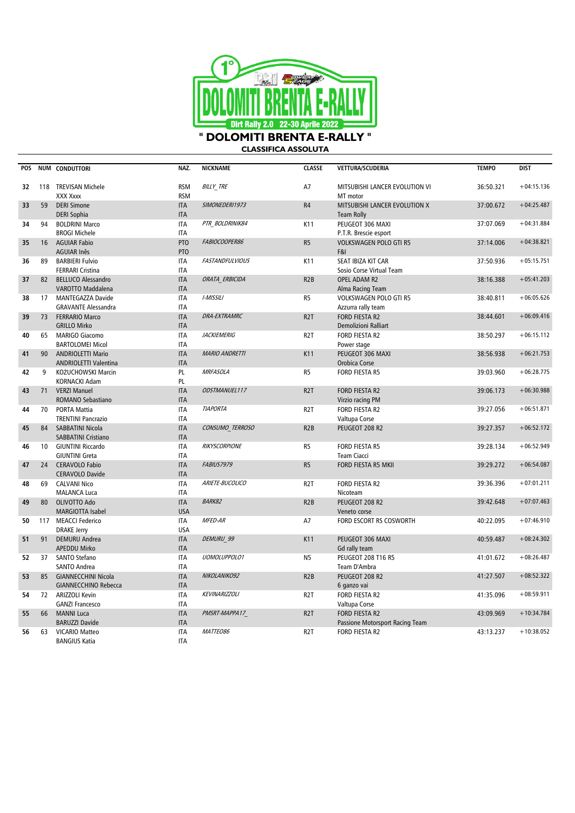

**CLASSIFICA ASSOLUTA** 

| POS |     | NUM CONDUTTORI                                            | NAZ.                     | <b>NICKNAME</b>        | <b>CLASSE</b>    | VETTURA/SCUDERIA                                         | <b>TEMPO</b> | <b>DIST</b>  |
|-----|-----|-----------------------------------------------------------|--------------------------|------------------------|------------------|----------------------------------------------------------|--------------|--------------|
| 32  |     | 118 TREVISAN Michele<br>XXX Xxxx                          | <b>RSM</b><br><b>RSM</b> | <b>BILLY TRE</b>       | A7               | MITSUBISHI LANCER EVOLUTION VI<br>MT motor               | 36:50.321    | $+04:15.136$ |
| 33  | 59  | <b>DERI Simone</b><br><b>DERI Sophia</b>                  | <b>ITA</b><br><b>ITA</b> | SIMONEDERI1973         | R4               | MITSUBISHI LANCER EVOLUTION X<br><b>Team Rolly</b>       | 37:00.672    | $+04:25.487$ |
| 34  | 94  | <b>BOLDRINI Marco</b><br><b>BROGI Michele</b>             | <b>ITA</b><br><b>ITA</b> | PTR BOLDRINIK84        | K11              | PEUGEOT 306 MAXI<br>P.T.R. Brescie esport                | 37:07.069    | $+04:31.884$ |
| 35  | 16  | <b>AGUIAR Fabio</b><br><b>AGUIAR Inês</b>                 | PTO<br>PTO               | FABIOCOOPER86          | R <sub>5</sub>   | <b>VOLKSWAGEN POLO GTI R5</b><br>F&I                     | 37:14.006    | $+04:38.821$ |
| 36  | 89  | <b>BARBIERI Fulvio</b><br><b>FERRARI Cristina</b>         | <b>ITA</b><br><b>ITA</b> | <b>FASTANDFULVIOUS</b> | K11              | SEAT IBIZA KIT CAR<br>Sosio Corse Virtual Team           | 37:50.936    | $+05:15.751$ |
| 37  | 82  | <b>BELLUCO Alessandro</b><br>VAROTTO Maddalena            | <b>ITA</b><br><b>ITA</b> | ORATA ERBICIDA         | R <sub>2</sub> B | OPEL ADAM R2<br>Alma Racing Team                         | 38:16.388    | $+05:41.203$ |
| 38  | 17  | MANTEGAZZA Davide<br><b>GRAVANTE Alessandra</b>           | <b>ITA</b><br><b>ITA</b> | I-MISSILI              | R <sub>5</sub>   | VOLKSWAGEN POLO GTI R5<br>Azzurra rally team             | 38:40.811    | $+06:05.626$ |
| 39  | 73  | <b>FERRARIO Marco</b><br><b>GRILLO Mirko</b>              | <b>ITA</b><br><b>ITA</b> | <b>DRA-EXTRAMRC</b>    | R <sub>2</sub> T | <b>FORD FIESTA R2</b><br>Demolizioni Ralliart            | 38:44.601    | $+06:09.416$ |
| 40  | 65  | MARIGO Giacomo<br><b>BARTOLOMEI Micol</b>                 | <b>ITA</b><br><b>ITA</b> | <b>JACKIEMERIG</b>     | R <sub>2</sub> T | FORD FIESTA R2<br>Power stage                            | 38:50.297    | $+06:15.112$ |
| 41  | 90  | <b>ANDRIOLETTI Mario</b><br>ANDRIOLETTI Valentina         | <b>ITA</b><br><b>ITA</b> | <b>MARIO ANDRETTI</b>  | K11              | PEUGEOT 306 MAXI<br>Orobica Corse                        | 38:56.938    | $+06:21.753$ |
| 42  | 9   | KOŻUCHOWSKI Marcin<br>KORNACKI Adam                       | PL<br>PL                 | <b>MRFASOLA</b>        | R <sub>5</sub>   | <b>FORD FIESTA R5</b>                                    | 39:03.960    | $+06:28.775$ |
| 43  | 71  | <b>VERZI Manuel</b><br><b>ROMANO Sebastiano</b>           | <b>ITA</b><br><b>ITA</b> | ODSTMANUEL117          | R <sub>2</sub> T | <b>FORD FIESTA R2</b><br>Virzio racing PM                | 39:06.173    | $+06:30.988$ |
| 44  | 70  | PORTA Mattia<br><b>TRENTINI Pancrazio</b>                 | <b>ITA</b><br><b>ITA</b> | <b>TIAPORTA</b>        | R <sub>2</sub> T | FORD FIESTA R2<br>Valtupa Corse                          | 39:27.056    | $+06:51.871$ |
| 45  | 84  | SABBATINI Nicola<br><b>SABBATINI Cristiano</b>            | <b>ITA</b><br><b>ITA</b> | CONSUMO TERROSO        | R2B              | PEUGEOT 208 R2                                           | 39:27.357    | $+06:52.172$ |
| 46  | 10  | <b>GIUNTINI Riccardo</b><br><b>GIUNTINI Greta</b>         | <b>ITA</b><br><b>ITA</b> | RIKYSCORPIONE          | R <sub>5</sub>   | <b>FORD FIESTA R5</b><br><b>Team Ciacci</b>              | 39:28.134    | $+06:52.949$ |
| 47  | 24  | <b>CERAVOLO Fabio</b><br><b>CERAVOLO Davide</b>           | <b>ITA</b><br><b>ITA</b> | <b>FABIUS7979</b>      | R <sub>5</sub>   | FORD FIESTA R5 MKII                                      | 39:29.272    | $+06:54.087$ |
| 48  | 69  | <b>CALVANI Nico</b><br><b>MALANCA Luca</b>                | <b>ITA</b><br><b>ITA</b> | ARIETE-BUCOLICO        | R <sub>2</sub> T | FORD FIESTA R2<br>Nicoteam                               | 39:36.396    | $+07:01.211$ |
| 49  | 80  | OLIVOTTO Ado<br>MARGIOTTA Isabel                          | <b>ITA</b><br><b>USA</b> | <b>BARK82</b>          | R <sub>2</sub> B | PEUGEOT 208 R2<br>Veneto corse                           | 39:42.648    | $+07:07.463$ |
| 50  | 117 | <b>MEACCI Federico</b><br><b>DRAKE Jerry</b>              | <b>ITA</b><br><b>USA</b> | MFED-AR                | A7               | FORD ESCORT RS COSWORTH                                  | 40:22.095    | $+07:46.910$ |
| 51  | 91  | <b>DEMURU Andrea</b><br><b>APEDDU Mirko</b>               | <b>ITA</b><br><b>ITA</b> | DEMURU 99              | K11              | PEUGEOT 306 MAXI<br>Gd rally team                        | 40:59.487    | $+08:24.302$ |
| 52  | 37  | SANTO Stefano<br>SANTO Andrea                             | <b>ITA</b><br><b>ITA</b> | UOMOLUPPOLO1           | N5               | PEUGEOT 208 T16 R5<br>Team D'Ambra                       | 41:01.672    | $+08:26.487$ |
| 53  | 85  | <b>GIANNECCHINI Nicola</b><br><b>GIANNECCHINO Rebecca</b> | <b>ITA</b><br><b>ITA</b> | NIKOLANIKO92           | R2B              | PEUGEOT 208 R2<br>6 ganzo vai                            | 41:27.507    | $+08:52.322$ |
| 54  | 72  | <b>ARIZZOLI Kevin</b><br><b>GANZI Francesco</b>           | <b>ITA</b><br><b>ITA</b> | <b>KEVINARIZZOLI</b>   | R <sub>2</sub> T | FORD FIESTA R2<br>Valtupa Corse                          | 41:35.096    | $+08:59.911$ |
| 55  | 66  | <b>MANNI Luca</b><br><b>BARUZZI Davide</b>                | <b>ITA</b><br><b>ITA</b> | PMSRT-MAPPA17          | R <sub>2</sub> T | <b>FORD FIESTA R2</b><br>Passione Motorsport Racing Team | 43:09.969    | $+10:34.784$ |
| 56  | 63  | VICARIO Matteo<br><b>BANGIUS Katia</b>                    | <b>ITA</b><br><b>ITA</b> | MATTEO86               | R <sub>2</sub> T | FORD FIESTA R2                                           | 43:13.237    | $+10:38.052$ |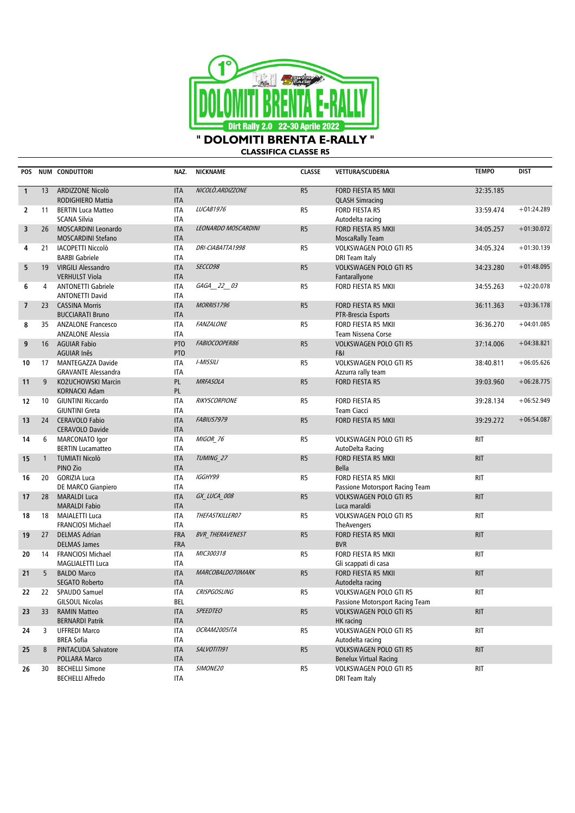

**CLASSIFICA CLASSE R5**

| <b>POS</b>               |                 | NUM CONDUTTORI                                    | NAZ.                     | <b>NICKNAME</b>        | <b>CLASSE</b>  | VETTURA/SCUDERIA                                   | <b>TEMPO</b> | <b>DIST</b>  |
|--------------------------|-----------------|---------------------------------------------------|--------------------------|------------------------|----------------|----------------------------------------------------|--------------|--------------|
|                          |                 |                                                   |                          |                        |                |                                                    |              |              |
| $\mathbf{1}$             | 13              | ARDIZZONE Nicolò<br>RODIGHIERO Mattia             | <b>ITA</b><br><b>ITA</b> | NICOLO.ARDIZZONE       | R5             | FORD FIESTA R5 MKII                                | 32:35.185    |              |
| $\overline{2}$           | 11              | <b>BERTIN Luca Matteo</b>                         | <b>ITA</b>               | LUCAB1976              | R5             | <b>QLASH Simracing</b><br><b>FORD FIESTA R5</b>    | 33:59.474    | $+01:24.289$ |
|                          |                 | <b>SCANA Silvia</b>                               | <b>ITA</b>               |                        |                | Autodelta racing                                   |              |              |
| 3                        | 26              | MOSCARDINI Leonardo                               | <b>ITA</b>               | LEONARDO MOSCARDINI    | R <sub>5</sub> | FORD FIESTA R5 MKII                                | 34:05.257    | $+01:30.072$ |
|                          |                 | <b>MOSCARDINI Stefano</b>                         | <b>ITA</b>               |                        |                | <b>MoscaRally Team</b>                             |              |              |
| 4                        | 21              | IACOPETTI Niccolò                                 | <b>ITA</b>               | DRI-CIABATTA1998       | R <sub>5</sub> | VOLKSWAGEN POLO GTI R5                             | 34:05.324    | $+01:30.139$ |
|                          |                 | <b>BARBI Gabriele</b>                             | <b>ITA</b>               |                        |                | DRI Team Italy                                     |              |              |
| 5                        | 19              | <b>VIRGILI Alessandro</b>                         | <b>ITA</b>               | SECCO98                | R <sub>5</sub> | <b>VOLKSWAGEN POLO GTI R5</b>                      | 34:23.280    | $+01:48.095$ |
|                          |                 | <b>VERHULST Viola</b>                             | <b>ITA</b>               |                        |                | Fantarallyone                                      |              |              |
| 6                        | 4               | <b>ANTONETTI Gabriele</b>                         | <b>ITA</b>               | GAGA_22_03             | R5             | FORD FIESTA R5 MKII                                | 34:55.263    | $+02:20.078$ |
|                          |                 | <b>ANTONETTI David</b>                            | <b>ITA</b>               |                        |                |                                                    |              |              |
| $\overline{\phantom{a}}$ | 23 <sup>2</sup> | <b>CASSINA Morris</b>                             | <b>ITA</b>               | <b>MORRIS1796</b>      | R <sub>5</sub> | FORD FIESTA R5 MKII                                | 36:11.363    | $+03:36.178$ |
|                          |                 | <b>BUCCIARATI Bruno</b>                           | <b>ITA</b>               | <b>FANZALONE</b>       |                | PTR-Brescia Esports                                |              | $+04:01.085$ |
| 8                        |                 | 35 ANZALONE Francesco<br><b>ANZALONE Alessia</b>  | <b>ITA</b><br><b>ITA</b> |                        | R5             | FORD FIESTA R5 MKII<br>Team Nissena Corse          | 36:36.270    |              |
| 9                        | 16 <sup>1</sup> | <b>AGUIAR Fabio</b>                               | PTO                      | FABIOCOOPER86          | R <sub>5</sub> | <b>VOLKSWAGEN POLO GTI R5</b>                      | 37:14.006    | $+04:38.821$ |
|                          |                 | <b>AGUIAR Inês</b>                                | PTO                      |                        |                | F&I                                                |              |              |
| 10                       | 17              | <b>MANTEGAZZA Davide</b>                          | <b>ITA</b>               | I-MISSILI              | R <sub>5</sub> | <b>VOLKSWAGEN POLO GTI R5</b>                      | 38:40.811    | $+06:05.626$ |
|                          |                 | <b>GRAVANTE Alessandra</b>                        | <b>ITA</b>               |                        |                | Azzurra rally team                                 |              |              |
| 11                       | 9               | KOŻUCHOWSKI Marcin                                | PL                       | <b>MRFASOLA</b>        | R <sub>5</sub> | <b>FORD FIESTA R5</b>                              | 39:03.960    | $+06:28.775$ |
|                          |                 | <b>KORNACKI Adam</b>                              | PL                       |                        |                |                                                    |              |              |
| 12                       | 10              | <b>GIUNTINI Riccardo</b>                          | <b>ITA</b>               | RIKYSCORPIONE          | R5             | <b>FORD FIESTA R5</b>                              | 39:28.134    | $+06:52.949$ |
|                          |                 | <b>GIUNTINI Greta</b>                             | <b>ITA</b>               |                        |                | <b>Team Ciacci</b>                                 |              |              |
| 13                       | 24              | <b>CERAVOLO Fabio</b>                             | <b>ITA</b>               | <b>FABIUS7979</b>      | R <sub>5</sub> | FORD FIESTA R5 MKII                                | 39:29.272    | $+06:54.087$ |
|                          |                 | <b>CERAVOLO Davide</b>                            | <b>ITA</b>               |                        |                |                                                    |              |              |
| 14                       | 6               | MARCONATO Igor                                    | <b>ITA</b>               | MIGOR 76               | R <sub>5</sub> | <b>VOLKSWAGEN POLO GTI R5</b>                      | RIT          |              |
| 15                       | $\overline{1}$  | <b>BERTIN Lucamatteo</b><br><b>TUMIATI Nicolò</b> | <b>ITA</b><br><b>ITA</b> | TUMING 27              | R <sub>5</sub> | AutoDelta Racing<br>FORD FIESTA R5 MKII            | <b>RIT</b>   |              |
|                          |                 | PINO Zio                                          | <b>ITA</b>               |                        |                | <b>Bella</b>                                       |              |              |
| 16                       | 20              | <b>GORIZIA Luca</b>                               | <b>ITA</b>               | IGGHY99                | R <sub>5</sub> | FORD FIESTA R5 MKII                                | <b>RIT</b>   |              |
|                          |                 | DE MARCO Gianpiero                                | <b>ITA</b>               |                        |                | Passione Motorsport Racing Team                    |              |              |
| 17                       | 28              | <b>MARALDI Luca</b>                               | <b>ITA</b>               | GX LUCA 008            | R <sub>5</sub> | <b>VOLKSWAGEN POLO GTI R5</b>                      | <b>RIT</b>   |              |
|                          |                 | <b>MARALDI Fabio</b>                              | <b>ITA</b>               |                        |                | Luca maraldi                                       |              |              |
| 18                       | 18              | <b>MAIALETTI Luca</b>                             | <b>ITA</b>               | THEFASTKILLER07        | R5             | VOLKSWAGEN POLO GTI R5                             | <b>RIT</b>   |              |
|                          |                 | <b>FRANCIOSI Michael</b>                          | <b>ITA</b>               |                        |                | TheAvengers                                        |              |              |
| 19                       | 27              | <b>DELMAS Adrian</b>                              | <b>FRA</b>               | <b>BVR THERAVENEST</b> | R <sub>5</sub> | FORD FIESTA R5 MKII                                | <b>RIT</b>   |              |
|                          |                 | <b>DELMAS James</b>                               | <b>FRA</b>               |                        |                | <b>BVR</b>                                         |              |              |
| 20                       | 14              | <b>FRANCIOSI Michael</b>                          | <b>ITA</b>               | MIC300318              | R <sub>5</sub> | FORD FIESTA R5 MKII                                | <b>RIT</b>   |              |
|                          | 5               | MAGLIALETTI Luca                                  | <b>ITA</b><br><b>ITA</b> | MARCOBALDO70MARK       | R <sub>5</sub> | Gli scappati di casa<br><b>FORD FIESTA R5 MKII</b> | <b>RIT</b>   |              |
| 21                       |                 | <b>BALDO Marco</b><br><b>SEGATO Roberto</b>       | <b>ITA</b>               |                        |                | Autodelta racing                                   |              |              |
| 22                       | 22              | SPAUDO Samuel                                     | <b>ITA</b>               | <b>CRISPGOSLING</b>    | R <sub>5</sub> | VOLKSWAGEN POLO GTI R5                             | <b>RIT</b>   |              |
|                          |                 | <b>GILSOUL Nicolas</b>                            | BEL                      |                        |                | Passione Motorsport Racing Team                    |              |              |
| 23                       | 33              | <b>RAMIN Matteo</b>                               | <b>ITA</b>               | <b>SPEEDTEO</b>        | R5             | <b>VOLKSWAGEN POLO GTI R5</b>                      | <b>RIT</b>   |              |
|                          |                 | <b>BERNARDI Patrik</b>                            | <b>ITA</b>               |                        |                | <b>HK</b> racing                                   |              |              |
| 24                       | 3               | <b>UFFREDI Marco</b>                              | ITA                      | OCRAM2005ITA           | R5             | VOLKSWAGEN POLO GTI R5                             | <b>RIT</b>   |              |
|                          |                 | <b>BREA Sofia</b>                                 | ITA                      |                        |                | Autodelta racing                                   |              |              |
| 25                       | 8               | <b>PINTACUDA Salvatore</b>                        | <b>ITA</b>               | SALVOTITI91            | R <sub>5</sub> | <b>VOLKSWAGEN POLO GTI R5</b>                      | <b>RIT</b>   |              |
|                          |                 | POLLARA Marco                                     | <b>ITA</b>               |                        |                | <b>Benelux Virtual Racing</b>                      |              |              |
| 26                       | 30              | <b>BECHELLI Simone</b>                            | ITA                      | SIMONE20               | R5             | VOLKSWAGEN POLO GTI R5                             | RIT          |              |
|                          |                 | <b>BECHELLI Alfredo</b>                           | ITA                      |                        |                | DRI Team Italy                                     |              |              |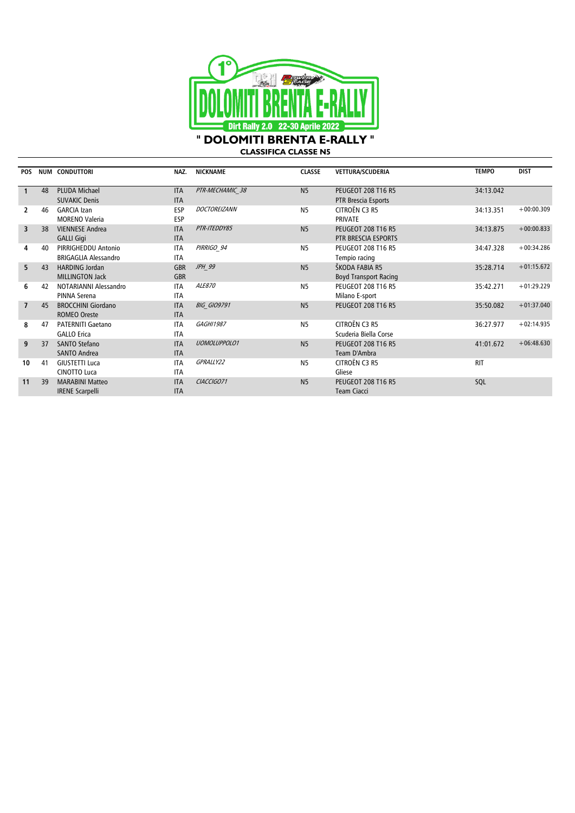

**CLASSIFICA CLASSE N5**

| <b>POS</b>     |    | <b>NUM CONDUTTORI</b>                              | NAZ.                     | <b>NICKNAME</b>     | <b>CLASSE</b>  | VETTURA/SCUDERIA                                 | <b>TEMPO</b> | <b>DIST</b>  |
|----------------|----|----------------------------------------------------|--------------------------|---------------------|----------------|--------------------------------------------------|--------------|--------------|
|                | 48 | <b>PLUDA Michael</b><br><b>SUVAKIC Denis</b>       | <b>ITA</b><br><b>ITA</b> | PTR-MECHAMIC 38     | N <sub>5</sub> | <b>PEUGEOT 208 T16 R5</b><br>PTR Brescia Esports | 34:13.042    |              |
| 2              | 46 | <b>GARCIA Izan</b><br><b>MORENO Valeria</b>        | <b>ESP</b><br><b>ESP</b> | DOCTOREIZANN        | <b>N5</b>      | CITROËN C3 R5<br><b>PRIVATE</b>                  | 34:13.351    | $+00:00.309$ |
| $\overline{3}$ | 38 | <b>VIENNESE Andrea</b><br><b>GALLI Gigi</b>        | <b>ITA</b><br><b>ITA</b> | PTR-ITEDDY85        | N <sub>5</sub> | <b>PEUGEOT 208 T16 R5</b><br>PTR BRESCIA ESPORTS | 34:13.875    | $+00:00.833$ |
| 4              | 40 | PIRRIGHEDDU Antonio<br><b>BRIGAGLIA Alessandro</b> | <b>ITA</b><br><b>ITA</b> | PIRRIGO 94          | <b>N5</b>      | <b>PEUGEOT 208 T16 R5</b><br>Tempio racing       | 34:47.328    | $+00:34.286$ |
| 5.             | 43 | <b>HARDING Jordan</b><br><b>MILLINGTON Jack</b>    | <b>GBR</b><br><b>GBR</b> | JPH 99              | N <sub>5</sub> | ŠKODA FABIA R5<br><b>Boyd Transport Racing</b>   | 35:28.714    | $+01:15.672$ |
| 6              | 42 | NOTARIANNI Alessandro<br>PINNA Serena              | <b>ITA</b><br><b>ITA</b> | ALE870              | <b>N5</b>      | <b>PEUGEOT 208 T16 R5</b><br>Milano E-sport      | 35:42.271    | $+01:29.229$ |
| $\overline{7}$ | 45 | <b>BROCCHINI Giordano</b><br><b>ROMEO Oreste</b>   | <b>ITA</b><br><b>ITA</b> | <b>BIG GIO9791</b>  | N <sub>5</sub> | <b>PEUGEOT 208 T16 R5</b>                        | 35:50.082    | $+01:37.040$ |
| 8              | 47 | <b>PATERNITI Gaetano</b><br><b>GALLO Erica</b>     | <b>ITA</b><br><b>ITA</b> | <b>GAGHI1987</b>    | <b>N5</b>      | CITROËN C3 R5<br>Scuderia Biella Corse           | 36:27.977    | $+02:14.935$ |
| 9              | 37 | <b>SANTO Stefano</b><br><b>SANTO Andrea</b>        | <b>ITA</b><br><b>ITA</b> | <b>UOMOLUPPOLO1</b> | N <sub>5</sub> | <b>PEUGEOT 208 T16 R5</b><br>Team D'Ambra        | 41:01.672    | $+06:48.630$ |
| 10             | 41 | <b>GIUSTETTI Luca</b><br><b>CINOTTO Luca</b>       | <b>ITA</b><br><b>ITA</b> | GPRALLY22           | <b>N5</b>      | CITROËN C3 R5<br>Gliese                          | <b>RIT</b>   |              |
| 11             | 39 | <b>MARABINI Matteo</b><br><b>IRENE Scarpelli</b>   | <b>ITA</b><br><b>ITA</b> | CIACCIGO71          | N <sub>5</sub> | <b>PEUGEOT 208 T16 R5</b><br><b>Team Ciacci</b>  | SQL          |              |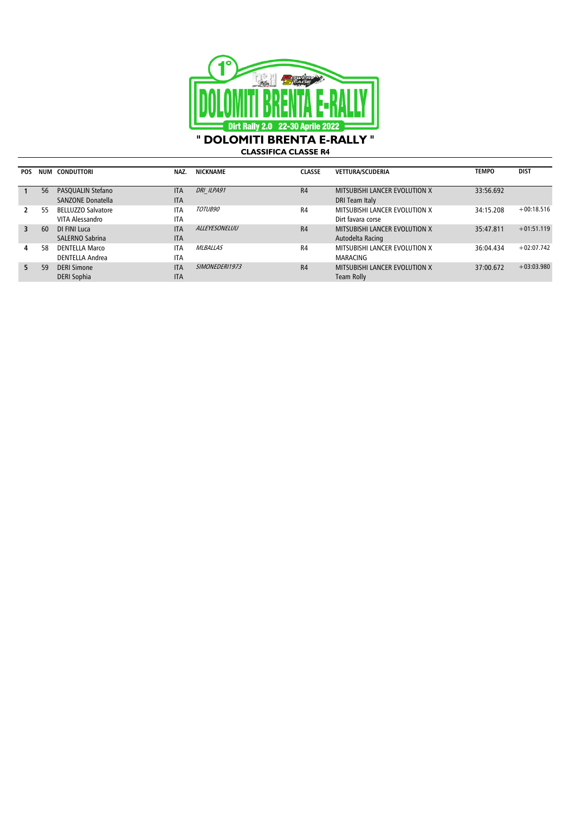

**CLASSIFICA CLASSE R4**

| <b>POS</b> | <b>NUM</b> | CONDUTTORI                                    | NAZ.                     | <b>NICKNAME</b> | <b>CLASSE</b>  | <b>VETTURA/SCUDERIA</b>                                | <b>TEMPO</b> | <b>DIST</b>  |
|------------|------------|-----------------------------------------------|--------------------------|-----------------|----------------|--------------------------------------------------------|--------------|--------------|
|            | 56         | <b>PASOUALIN Stefano</b><br>SANZONE Donatella | <b>ITA</b><br><b>ITA</b> | DRI ILPA91      | R4             | <b>MITSUBISHI LANCER EVOLUTION X</b><br>DRI Team Italy | 33:56.692    |              |
|            | 55         | <b>BELLUZZO Salvatore</b><br>VITA Alessandro  | <b>ITA</b><br><b>ITA</b> | TOTUB90         | R <sub>4</sub> | MITSUBISHI LANCER EVOLUTION X<br>Dirt favara corse     | 34:15.208    | $+00:18.516$ |
| 3          | 60         | DI FINI Luca<br>SALERNO Sabrina               | <b>ITA</b><br><b>ITA</b> | ALLEYESONELUU   | R4             | MITSUBISHI LANCER EVOLUTION X<br>Autodelta Racing      | 35:47.811    | $+01:51.119$ |
| 4          | 58         | <b>DENTELLA Marco</b><br>DENTELLA Andrea      | <b>ITA</b><br><b>ITA</b> | <b>MLBALLAS</b> | R <sub>4</sub> | MITSUBISHI LANCER EVOLUTION X<br><b>MARACING</b>       | 36:04.434    | $+02:07.742$ |
| 5          | 59         | <b>DERI Simone</b><br><b>DERI Sophia</b>      | <b>ITA</b><br><b>ITA</b> | SIMONEDERI1973  | R4             | MITSUBISHI LANCER EVOLUTION X<br>Team Rolly            | 37:00.672    | $+03:03.980$ |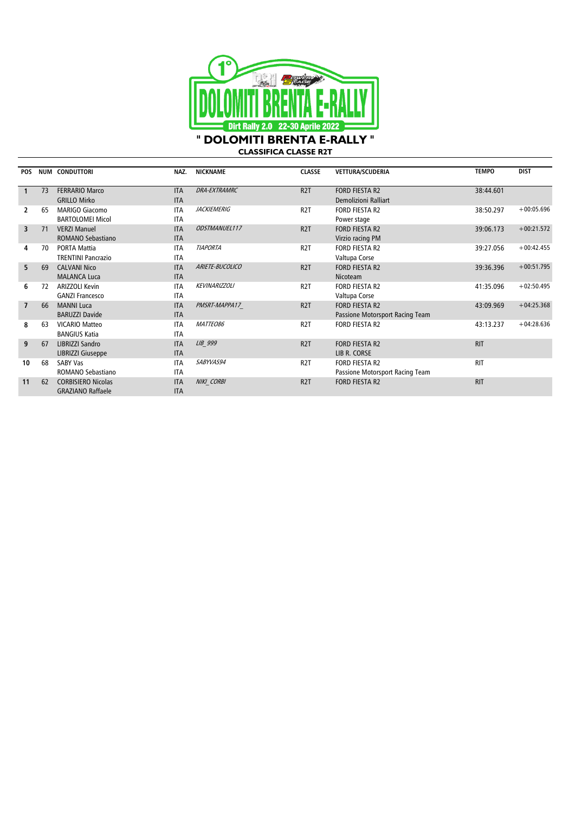

**CLASSIFICA CLASSE R2T**

| <b>POS</b>     |    | <b>NUM CONDUTTORI</b>     | NAZ.       | <b>NICKNAME</b>      | <b>CLASSE</b>    | <b>VETTURA/SCUDERIA</b>         | <b>TEMPO</b> | <b>DIST</b>  |
|----------------|----|---------------------------|------------|----------------------|------------------|---------------------------------|--------------|--------------|
|                |    |                           |            |                      |                  |                                 |              |              |
|                | 73 | <b>FERRARIO Marco</b>     | <b>ITA</b> | <b>DRA-EXTRAMRC</b>  | R <sub>2</sub> T | <b>FORD FIESTA R2</b>           | 38:44.601    |              |
|                |    | <b>GRILLO Mirko</b>       | <b>ITA</b> |                      |                  | Demolizioni Ralliart            |              |              |
| 2              | 65 | <b>MARIGO Giacomo</b>     | <b>ITA</b> | <b>JACKIEMERIG</b>   | R <sub>2</sub> T | <b>FORD FIESTA R2</b>           | 38:50.297    | $+00:05.696$ |
|                |    | <b>BARTOLOMEI Micol</b>   | <b>ITA</b> |                      |                  | Power stage                     |              |              |
| 3              | 71 | <b>VERZI Manuel</b>       | <b>ITA</b> | <b>ODSTMANUEL117</b> | R <sub>2</sub> T | <b>FORD FIESTA R2</b>           | 39:06.173    | $+00:21.572$ |
|                |    | ROMANO Sebastiano         | <b>ITA</b> |                      |                  | Virzio racing PM                |              |              |
| 4              | 70 | <b>PORTA Mattia</b>       | <b>ITA</b> | <b>TIAPORTA</b>      | R <sub>2</sub> T | <b>FORD FIESTA R2</b>           | 39:27.056    | $+00:42.455$ |
|                |    | <b>TRENTINI Pancrazio</b> | <b>ITA</b> |                      |                  | Valtupa Corse                   |              |              |
| 5              | 69 | <b>CALVANI Nico</b>       | <b>ITA</b> | ARIETE-BUCOLICO      | R <sub>2</sub> T | <b>FORD FIESTA R2</b>           | 39:36.396    | $+00:51.795$ |
|                |    | <b>MALANCA Luca</b>       | <b>ITA</b> |                      |                  | <b>Nicoteam</b>                 |              |              |
| 6              | 72 | <b>ARIZZOLI Kevin</b>     | <b>ITA</b> | <b>KEVINARIZZOLI</b> | R <sub>2</sub> T | <b>FORD FIESTA R2</b>           | 41:35.096    | $+02:50.495$ |
|                |    | <b>GANZI Francesco</b>    | <b>ITA</b> |                      |                  | Valtupa Corse                   |              |              |
| $\overline{7}$ | 66 | <b>MANNI Luca</b>         | <b>ITA</b> | PMSRT-MAPPA17        | R <sub>2</sub> T | FORD FIESTA R2                  | 43:09.969    | $+04:25.368$ |
|                |    | <b>BARUZZI Davide</b>     | <b>ITA</b> |                      |                  | Passione Motorsport Racing Team |              |              |
| 8              | 63 | <b>VICARIO Matteo</b>     | <b>ITA</b> | MATTEO86             | R <sub>2</sub> T | <b>FORD FIESTA R2</b>           | 43:13.237    | $+04:28.636$ |
|                |    | <b>BANGIUS Katia</b>      | <b>ITA</b> |                      |                  |                                 |              |              |
| 9              | 67 | LIBRIZZI Sandro           | <b>ITA</b> | LIB 999              | R <sub>2</sub> T | <b>FORD FIESTA R2</b>           | <b>RIT</b>   |              |
|                |    | LIBRIZZI Giuseppe         | <b>ITA</b> |                      |                  | LIB R. CORSE                    |              |              |
| 10             | 68 | <b>SABY Vas</b>           | <b>ITA</b> | SABYVAS94            | R <sub>2</sub> T | <b>FORD FIESTA R2</b>           | <b>RIT</b>   |              |
|                |    | ROMANO Sebastiano         | <b>ITA</b> |                      |                  | Passione Motorsport Racing Team |              |              |
| 11             | 62 | <b>CORBISIERO Nicolas</b> | <b>ITA</b> | NIKI CORBI           | R <sub>2</sub> T | <b>FORD FIESTA R2</b>           | <b>RIT</b>   |              |
|                |    | <b>GRAZIANO Raffaele</b>  | <b>ITA</b> |                      |                  |                                 |              |              |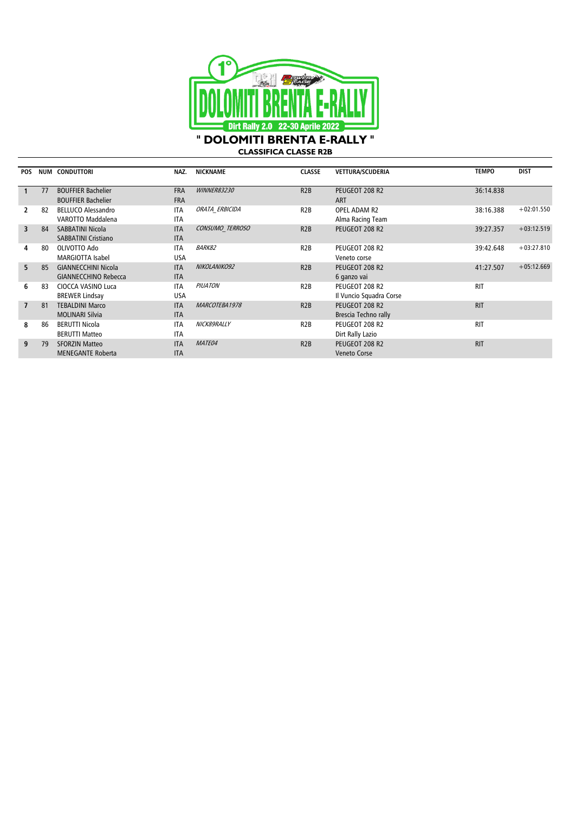

**CLASSIFICA CLASSE R2B**

| <b>POS</b>     | NUM | <b>CONDUTTORI</b>                                         | NAZ.                     | <b>NICKNAME</b>    | <b>CLASSE</b>    | <b>VETTURA/SCUDERIA</b>                   | <b>TEMPO</b> | <b>DIST</b>  |
|----------------|-----|-----------------------------------------------------------|--------------------------|--------------------|------------------|-------------------------------------------|--------------|--------------|
|                | 77  | <b>BOUFFIER Bachelier</b><br><b>BOUFFIER Bachelier</b>    | <b>FRA</b><br><b>FRA</b> | <b>WINNER83230</b> | R2B              | PEUGEOT 208 R2<br><b>ART</b>              | 36:14.838    |              |
|                | 82  | <b>BELLUCO Alessandro</b><br>VAROTTO Maddalena            | <b>ITA</b><br><b>ITA</b> | ORATA ERBICIDA     | R <sub>2</sub> B | OPEL ADAM R2<br>Alma Racing Team          | 38:16.388    | $+02:01.550$ |
| 3              | 84  | <b>SABBATINI Nicola</b><br><b>SABBATINI Cristiano</b>     | <b>ITA</b><br><b>ITA</b> | CONSUMO TERROSO    | R2B              | PEUGEOT 208 R2                            | 39:27.357    | $+03:12.519$ |
| 4              | 80  | OLIVOTTO Ado<br><b>MARGIOTTA Isabel</b>                   | <b>ITA</b><br><b>USA</b> | <b>BARK82</b>      | R <sub>2</sub> B | PEUGEOT 208 R2<br>Veneto corse            | 39:42.648    | $+03:27.810$ |
| 5.             | 85  | <b>GIANNECCHINI Nicola</b><br><b>GIANNECCHINO Rebecca</b> | <b>ITA</b><br><b>ITA</b> | NIKOLANIKO92       | R2B              | PEUGEOT 208 R2<br>6 ganzo vai             | 41:27.507    | $+05:12.669$ |
| 6              | 83  | CIOCCA VASINO Luca<br><b>BREWER Lindsay</b>               | <b>ITA</b><br>USA        | <b>PIUATON</b>     | R <sub>2</sub> B | PEUGEOT 208 R2<br>Il Vuncio Squadra Corse | <b>RIT</b>   |              |
| $\overline{7}$ | 81  | <b>TEBALDINI Marco</b><br><b>MOLINARI Silvia</b>          | <b>ITA</b><br><b>ITA</b> | MARCOTEBA1978      | R2B              | PEUGEOT 208 R2<br>Brescia Techno rally    | <b>RIT</b>   |              |
| 8              | 86  | <b>BERUTTI Nicola</b><br><b>BERUTTI Matteo</b>            | <b>ITA</b><br><b>ITA</b> | NICK89RALLY        | R <sub>2</sub> B | PEUGEOT 208 R2<br>Dirt Rally Lazio        | <b>RIT</b>   |              |
| 9              | 79  | <b>SFORZIN Matteo</b><br><b>MENEGANTE Roberta</b>         | <b>ITA</b><br><b>ITA</b> | MATE04             | R2B              | PEUGEOT 208 R2<br><b>Veneto Corse</b>     | <b>RIT</b>   |              |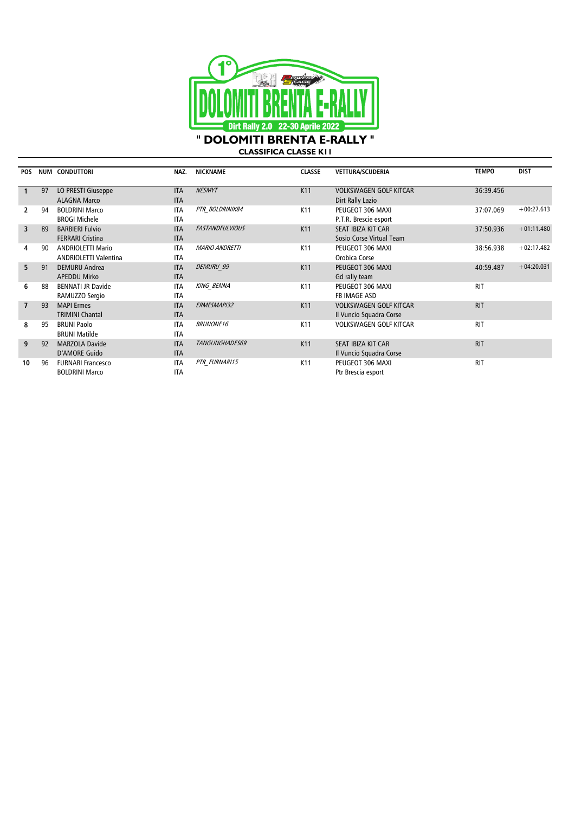

**CLASSIFICA CLASSE K11**

| <b>POS</b>     |    | <b>NUM CONDUTTORI</b>                                    | NAZ.                     | <b>NICKNAME</b>        | <b>CLASSE</b>   | <b>VETTURA/SCUDERIA</b>                                  | <b>TEMPO</b> | <b>DIST</b>  |
|----------------|----|----------------------------------------------------------|--------------------------|------------------------|-----------------|----------------------------------------------------------|--------------|--------------|
|                | 97 | LO PRESTI Giuseppe<br><b>ALAGNA Marco</b>                | <b>ITA</b><br><b>ITA</b> | <b>NESMYT</b>          | K11             | <b>VOLKSWAGEN GOLF KITCAR</b><br>Dirt Rally Lazio        | 36:39.456    |              |
| 2              | 94 | <b>BOLDRINI Marco</b><br><b>BROGI Michele</b>            | <b>ITA</b><br><b>ITA</b> | PTR BOLDRINIK84        | K <sub>11</sub> | PEUGEOT 306 MAXI<br>P.T.R. Brescie esport                | 37:07.069    | $+00:27.613$ |
| 3              | 89 | <b>BARBIERI Fulvio</b><br><b>FERRARI Cristina</b>        | <b>ITA</b><br><b>ITA</b> | <b>FASTANDFULVIOUS</b> | K11             | SEAT IBIZA KIT CAR<br>Sosio Corse Virtual Team           | 37:50.936    | $+01:11.480$ |
| 4              | 90 | <b>ANDRIOLETTI Mario</b><br><b>ANDRIOLETTI Valentina</b> | <b>ITA</b><br><b>ITA</b> | <b>MARIO ANDRETTI</b>  | K <sub>11</sub> | PEUGEOT 306 MAXI<br>Orobica Corse                        | 38:56.938    | $+02:17.482$ |
| 5              | 91 | <b>DEMURU Andrea</b><br><b>APEDDU Mirko</b>              | <b>ITA</b><br><b>ITA</b> | DEMURU 99              | K11             | PEUGEOT 306 MAXI<br>Gd rally team                        | 40:59.487    | $+04:20.031$ |
| 6              | 88 | <b>BENNATI JR Davide</b><br>RAMUZZO Sergio               | <b>ITA</b><br><b>ITA</b> | <b>KING BENNA</b>      | K <sub>11</sub> | PEUGEOT 306 MAXI<br><b>FB IMAGE ASD</b>                  | <b>RIT</b>   |              |
| $\overline{7}$ | 93 | <b>MAPI Ermes</b><br><b>TRIMINI Chantal</b>              | <b>ITA</b><br><b>ITA</b> | ERMESMAPI32            | K11             | <b>VOLKSWAGEN GOLF KITCAR</b><br>Il Vuncio Squadra Corse | <b>RIT</b>   |              |
| 8              | 95 | <b>BRUNI Paolo</b><br><b>BRUNI Matilde</b>               | <b>ITA</b><br><b>ITA</b> | <b>BRUNONE16</b>       | K <sub>11</sub> | <b>VOLKSWAGEN GOLF KITCAR</b>                            | <b>RIT</b>   |              |
| 9              | 92 | <b>MARZOLA Davide</b><br><b>D'AMORE Guido</b>            | <b>ITA</b><br><b>ITA</b> | TANGLINGHADES69        | K11             | SEAT IBIZA KIT CAR<br>Il Vuncio Squadra Corse            | <b>RIT</b>   |              |
| 10             | 96 | <b>FURNARI Francesco</b><br><b>BOLDRINI Marco</b>        | <b>ITA</b><br><b>ITA</b> | PTR FURNARI15          | K11             | PEUGEOT 306 MAXI<br>Ptr Brescia esport                   | <b>RIT</b>   |              |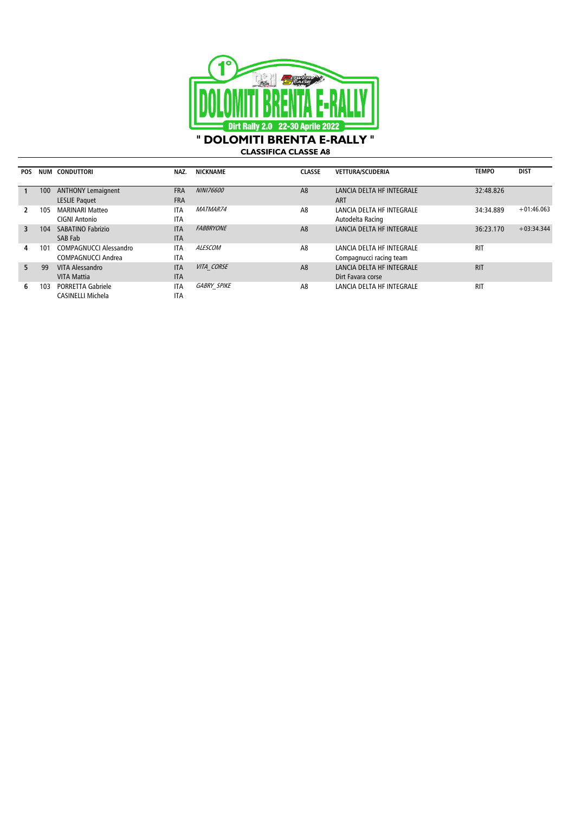

**CLASSIFICA CLASSE A8**

| <b>POS</b> |     | NUM CONDUTTORI                | NAZ.       | <b>NICKNAME</b>    | <b>CLASSE</b>  | <b>VETTURA/SCUDERIA</b>   | <b>TEMPO</b> | <b>DIST</b>  |
|------------|-----|-------------------------------|------------|--------------------|----------------|---------------------------|--------------|--------------|
|            |     |                               |            |                    |                |                           |              |              |
|            | 100 | <b>ANTHONY Lemaignent</b>     | <b>FRA</b> | <b>NINI76600</b>   | A8             | LANCIA DELTA HF INTEGRALE | 32:48.826    |              |
|            |     | <b>LESLIE Paquet</b>          | <b>FRA</b> |                    |                | <b>ART</b>                |              |              |
|            | 105 | <b>MARINARI Matteo</b>        | <b>ITA</b> | <i>MATMAR74</i>    | A8             | LANCIA DELTA HF INTEGRALE | 34:34.889    | $+01:46.063$ |
|            |     | <b>CIGNI Antonio</b>          | <b>ITA</b> |                    |                | Autodelta Racing          |              |              |
| 3          | 104 | SABATINO Fabrizio             | <b>ITA</b> | <b>FABBRYONE</b>   | A <sub>8</sub> | LANCIA DELTA HF INTEGRALE | 36:23.170    | $+03:34.344$ |
|            |     | SAB Fab                       | <b>ITA</b> |                    |                |                           |              |              |
| 4          | 101 | <b>COMPAGNUCCI Alessandro</b> | <b>ITA</b> | ALESCOM            | A8             | LANCIA DELTA HF INTEGRALE | <b>RIT</b>   |              |
|            |     | <b>COMPAGNUCCI Andrea</b>     | <b>ITA</b> |                    |                | Compagnucci racing team   |              |              |
| 5          | 99  | VITA Alessandro               | <b>ITA</b> | VITA CORSE         | A <sub>8</sub> | LANCIA DELTA HF INTEGRALE | <b>RIT</b>   |              |
|            |     | <b>VITA Mattia</b>            | <b>ITA</b> |                    |                | Dirt Favara corse         |              |              |
| 6          | 103 | <b>PORRETTA Gabriele</b>      | <b>ITA</b> | <b>GABRY SPIKE</b> | A <sub>8</sub> | LANCIA DELTA HF INTEGRALE | <b>RIT</b>   |              |
|            |     | CASINELLI Michela             | <b>ITA</b> |                    |                |                           |              |              |